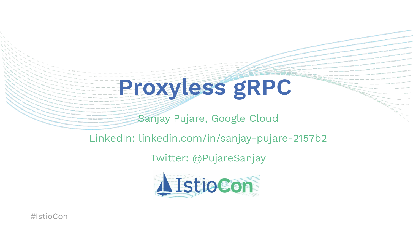## **Proxyless gRPC**

Sanjay Pujare, Google Cloud

#### LinkedIn: linkedin.com/in/sanjay-pujare-2157b2

#### Twitter: @PujareSanjay

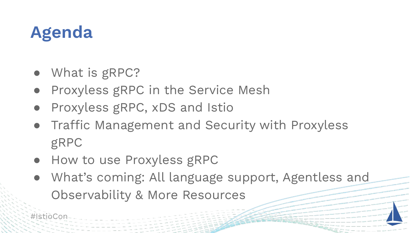#### **Agenda**

- What is gRPC?
- Proxyless gRPC in the Service Mesh
- Proxyless gRPC, xDS and Istio
- Traffic Management and Security with Proxyless gRPC
- How to use Proxyless gRPC
- What's coming: All language support, Agentless and Observability & More Resources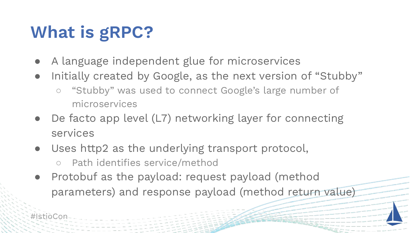### **What is gRPC?**

- A language independent glue for microservices
- Initially created by Google, as the next version of "Stubby"
	- "Stubby" was used to connect Google's large number of microservices
- De facto app level (L7) networking layer for connecting services
- Uses http2 as the underlying transport protocol,
	- Path identifies service/method
- Protobuf as the payload: request payload (method parameters) and response payload (method return value)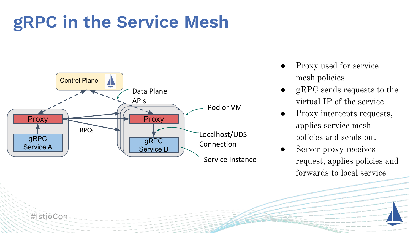#### **gRPC in the Service Mesh**



- Proxy used for service mesh policies
- $gRPC$  sends requests to the virtual IP of the service
- Proxy intercepts requests, applies service mesh policies and sends out
- Server proxy receives request, applies policies and forwards to local service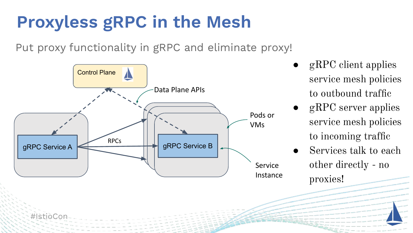#### **Proxyless gRPC in the Mesh**

Put proxy functionality in gRPC and eliminate proxy!



- gRPC client applies service mesh policies to outbound traffic
- gRPC server applies service mesh policies to incoming traffic
- Services talk to each other directly - no proxies!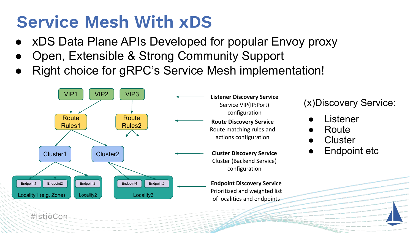#### **Service Mesh With xDS**

- xDS Data Plane APIs Developed for popular Envoy proxy
- Open, Extensible & Strong Community Support
- Right choice for gRPC's Service Mesh implementation!

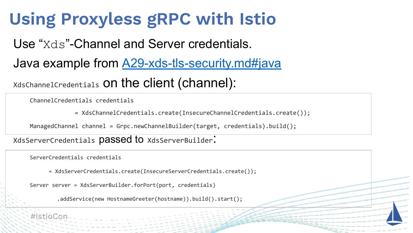#### **Using Proxyless gRPC with Istio**

Use "Xds"-Channel and Server credentials.

Java example from **A29-xds-tls-security.md#java** 

XdsChannelCredentials on the client (channel):

ChannelCredentials credentials

= XdsChannelCredentials.create(InsecureChannelCredentials.create());

ManagedChannel channel = Grpc.newChannelBuilder(target, credentials).build();

XdsServerCredentials **DaSSed to** XdsServerBuilder:

ServerCredentials credentials

= XdsServerCredentials.create(InsecureServerCredentials.create());

Server server = XdsServerBuilder.forPort(port, credentials)

.addService(new HostnameGreeter(hostname)).build().start();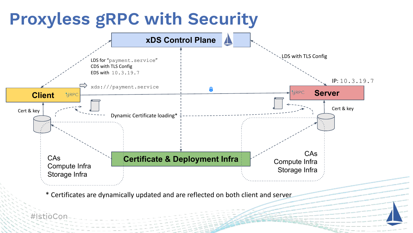#### **Proxyless gRPC with Security**

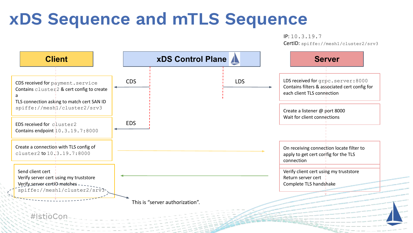#### **xDS Sequence and mTLS Sequence**

IP: 10.3.19.7 CertID: spiffe://mesh1/cluster2/srv3

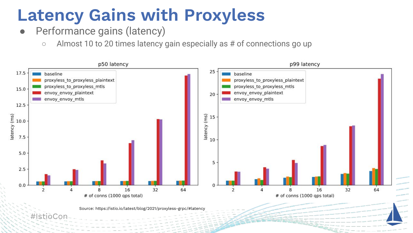#### **Latency Gains with Proxyless**

- Performance gains (latency)
	- Almost 10 to 20 times latency gain especially as # of connections go up

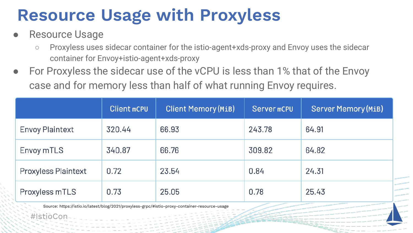#### **Resource Usage with Proxyless**

Resource Usage

#IstioCon

- Proxyless uses sidecar container for the istio-agent+xds-proxy and Envoy uses the sidecar container for Envoy+istio-agent+xds-proxy
- For Proxyless the sidecar use of the vCPU is less than 1% that of the Envoy case and for memory less than half of what running Envoy requires.

|                            | <b>Client mCPU</b> | <b>Client Memory (MiB)</b> | Server mCPU | <b>Server Memory (MiB)</b> |
|----------------------------|--------------------|----------------------------|-------------|----------------------------|
| <b>Envoy Plaintext</b>     | 320.44             | 66.93                      | 243.78      | 64.91                      |
| Envoy mTLS                 | 340.87             | 66.76                      | 309.82      | 64.82                      |
| <b>Proxyless Plaintext</b> | 0.72               | 23.54                      | 0.84        | 24.31                      |
| Proxyless mTLS             | 0.73               | 25.05                      | 0.78        | 25.43                      |

Source: https://istio.io/latest/blog/2021/proxyless-grpc/#istio-proxy-container-resource-usage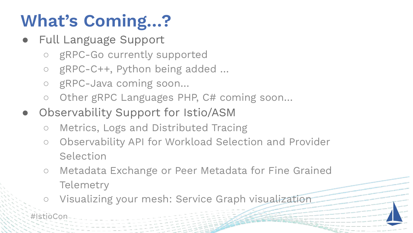## **What's Coming…?**

- Full Language Support
	- gRPC-Go currently supported
	- gRPC-C++, Python being added …
	- gRPC-Java coming soon…
	- Other gRPC Languages PHP, C# coming soon...
- Observability Support for Istio/ASM
	- Metrics, Logs and Distributed Tracing
	- Observability API for Workload Selection and Provider Selection
	- Metadata Exchange or Peer Metadata for Fine Grained **Telemetry**
	- Visualizing your mesh: Service Graph visualization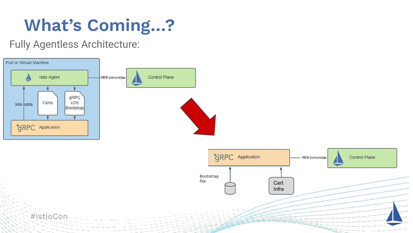#### **What's Coming…?**

Fully Agentless Architecture:

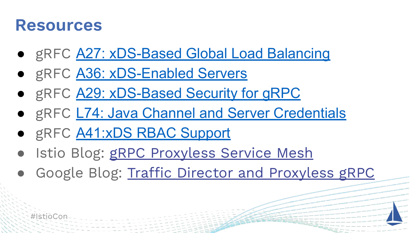#### **Resources**

- gRFC [A27: xDS-Based Global Load Balancing](https://github.com/grpc/proposal/blob/master/A27-xds-global-load-balancing.md)
- gRFC [A36: xDS-Enabled Servers](https://github.com/grpc/proposal/blob/master/A36-xds-for-servers.md)
- gRFC [A29: xDS-Based Security for gRPC](https://github.com/grpc/proposal/blob/master/A29-xds-tls-security.md)
- gRFC [L74: Java Channel and Server Credentials](https://github.com/grpc/proposal/blob/master/L74-java-channel-creds.md)
- gRFC [A41:xDS RBAC Support](https://github.com/grpc/proposal/pull/237/files)
- Istio Blog: [gRPC Proxyless Service Mesh](https://istio.io/latest/blog/2021/proxyless-grpc/)
- Google Blog: [Traffic Director and Proxyless gRPC](https://cloud.google.com/blog/products/networking/traffic-director-supports-proxyless-grpc)